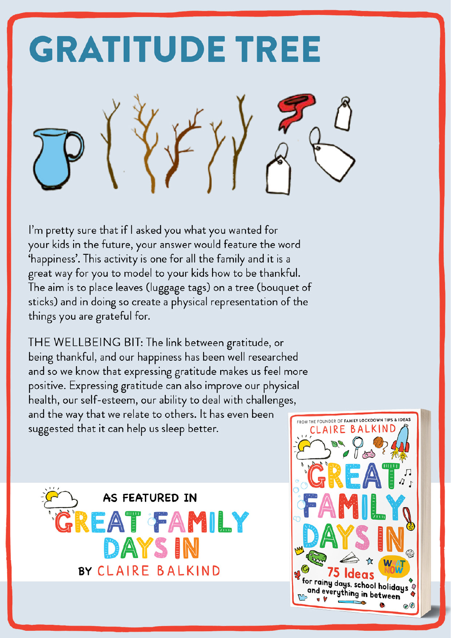

I'm pretty sure that if I asked you what you wanted for your kids in the future, your answer would feature the word 'happiness'. This activity is one for all the family and it is a great way for you to model to your kids how to be thankful. The aim is to place leaves (luggage tags) on a tree (bouquet of sticks) and in doing so create a physical representation of the things you are grateful for.

THE WELLBEING BIT: The link between gratitude, or being thankful, and our happiness has been well researched and so we know that expressing gratitude makes us feel more positive. Expressing gratitude can also improve our physical health, our self-esteem, our ability to deal with challenges, and the way that we relate to others. It has even been suggested that it can help us sleep better.